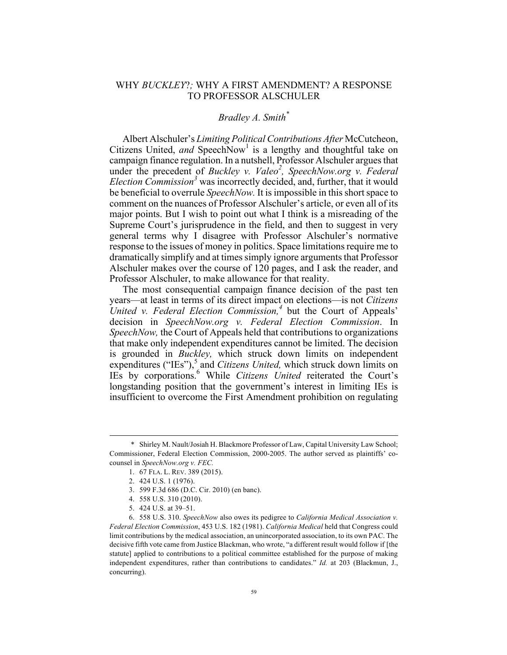## WHY *BUCKLEY*?*;* WHY A FIRST AMENDMENT? A RESPONSE TO PROFESSOR ALSCHULER

## *Bradley A. Smith\**

Albert Alschuler's *Limiting Political Contributions After* McCutcheon, Citizens United, *and* SpeechNow<sup>1</sup> is a lengthy and thoughtful take on campaign finance regulation. In a nutshell, Professor Alschuler argues that under the precedent of *Buckley v. Valeo<sup>2</sup>*, *SpeechNow.org v. Federal Election Commission<sup>3</sup>* was incorrectly decided, and, further, that it would be beneficial to overrule *SpeechNow.* It is impossible in this short space to comment on the nuances of Professor Alschuler's article, or even all of its major points. But I wish to point out what I think is a misreading of the Supreme Court's jurisprudence in the field, and then to suggest in very general terms why I disagree with Professor Alschuler's normative response to the issues of money in politics. Space limitations require me to dramatically simplify and at times simply ignore arguments that Professor Alschuler makes over the course of 120 pages, and I ask the reader, and Professor Alschuler, to make allowance for that reality.

The most consequential campaign finance decision of the past ten years—at least in terms of its direct impact on elections—is not *Citizens United v. Federal Election Commission,<sup>4</sup>* but the Court of Appeals' decision in *SpeechNow.org v. Federal Election Commission*. In *SpeechNow,* the Court of Appeals held that contributions to organizations that make only independent expenditures cannot be limited. The decision is grounded in *Buckley,* which struck down limits on independent expenditures ("IEs"),<sup>5</sup> and *Citizens United*, which struck down limits on IEs by corporations.6 While *Citizens United* reiterated the Court's longstanding position that the government's interest in limiting IEs is insufficient to overcome the First Amendment prohibition on regulating

 <sup>\*</sup> Shirley M. Nault/Josiah H. Blackmore Professor of Law, Capital University Law School; Commissioner, Federal Election Commission, 2000-2005. The author served as plaintiffs' cocounsel in *SpeechNow.org v. FEC.*

<sup>1.</sup> 67 FLA. L. REV. 389 (2015).

<sup>2.</sup> 424 U.S. 1 (1976).

<sup>3.</sup> 599 F.3d 686 (D.C. Cir. 2010) (en banc).

<sup>4.</sup> 558 U.S. 310 (2010).

<sup>5.</sup> 424 U.S. at 39–51.

<sup>6.</sup> 558 U.S. 310. *SpeechNow* also owes its pedigree to *California Medical Association v. Federal Election Commission*, 453 U.S. 182 (1981). *California Medical* held that Congress could limit contributions by the medical association, an unincorporated association, to its own PAC. The decisive fifth vote came from Justice Blackman, who wrote, "a different result would follow if [the statute] applied to contributions to a political committee established for the purpose of making independent expenditures, rather than contributions to candidates." *Id.* at 203 (Blackmun, J., concurring).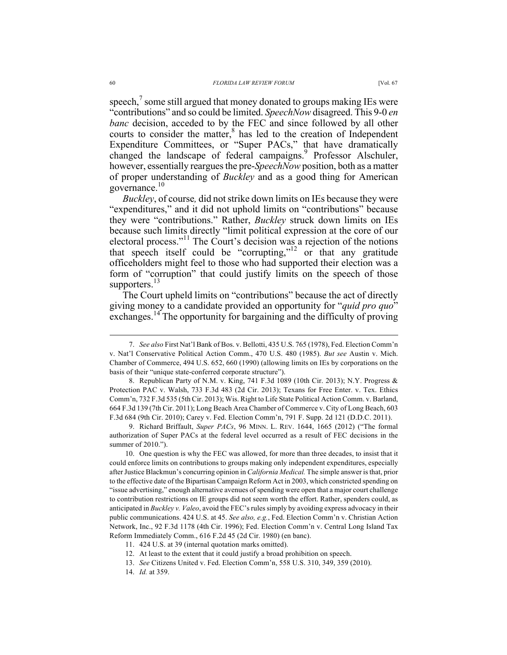speech, $<sup>7</sup>$  some still argued that money donated to groups making IEs were</sup> "contributions" and so could be limited. *SpeechNow* disagreed. This 9-0 *en banc* decision, acceded to by the FEC and since followed by all other courts to consider the matter,<sup>8</sup> has led to the creation of Independent Expenditure Committees, or "Super PACs," that have dramatically changed the landscape of federal campaigns.<sup>9</sup> Professor Alschuler, however, essentially reargues the pre-*SpeechNow* position, both as a matter of proper understanding of *Buckley* and as a good thing for American governance. $10$ 

*Buckley*, of course*,* did not strike down limits on IEs because they were "expenditures," and it did not uphold limits on "contributions" because they were "contributions." Rather, *Buckley* struck down limits on IEs because such limits directly "limit political expression at the core of our electoral process."11 The Court's decision was a rejection of the notions that speech itself could be "corrupting,"<sup>12</sup> or that any gratitude officeholders might feel to those who had supported their election was a form of "corruption" that could justify limits on the speech of those supporters.<sup>13</sup>

The Court upheld limits on "contributions" because the act of directly giving money to a candidate provided an opportunity for "*quid pro quo*" exchanges.<sup>14</sup> The opportunity for bargaining and the difficulty of proving

 <sup>7.</sup> *See also* First Nat'l Bank of Bos. v. Bellotti, 435 U.S. 765 (1978), Fed. Election Comm'n v. Nat'l Conservative Political Action Comm., 470 U.S. 480 (1985). *But see* Austin v. Mich. Chamber of Commerce, 494 U.S. 652, 660 (1990) (allowing limits on IEs by corporations on the basis of their "unique state-conferred corporate structure").

<sup>8.</sup> Republican Party of N.M. v. King, 741 F.3d 1089 (10th Cir. 2013); N.Y. Progress & Protection PAC v. Walsh, 733 F.3d 483 (2d Cir. 2013); Texans for Free Enter. v. Tex. Ethics Comm'n, 732 F.3d 535 (5th Cir. 2013); Wis. Right to Life State Political Action Comm. v. Barland, 664 F.3d 139 (7th Cir. 2011); Long Beach Area Chamber of Commerce v. City of Long Beach, 603 F.3d 684 (9th Cir. 2010); Carey v. Fed. Election Comm'n, 791 F. Supp. 2d 121 (D.D.C. 2011).

<sup>9.</sup> Richard Briffault, *Super PACs*, 96 MINN. L. REV. 1644, 1665 (2012) ("The formal authorization of Super PACs at the federal level occurred as a result of FEC decisions in the summer of 2010.").

<sup>10.</sup> One question is why the FEC was allowed, for more than three decades, to insist that it could enforce limits on contributions to groups making only independent expenditures, especially after Justice Blackmun's concurring opinion in *California Medical.* The simple answer is that, prior to the effective date of the Bipartisan Campaign Reform Act in 2003, which constricted spending on "issue advertising," enough alternative avenues of spending were open that a major court challenge to contribution restrictions on IE groups did not seem worth the effort. Rather, spenders could, as anticipated in *Buckley v. Valeo*, avoid the FEC's rules simply by avoiding express advocacy in their public communications. 424 U.S. at 45. *See also, e.g.*, Fed. Election Comm'n v. Christian Action Network, Inc., 92 F.3d 1178 (4th Cir. 1996); Fed. Election Comm'n v. Central Long Island Tax Reform Immediately Comm., 616 F.2d 45 (2d Cir. 1980) (en banc).

<sup>11.</sup> 424 U.S. at 39 (internal quotation marks omitted).

<sup>12.</sup> At least to the extent that it could justify a broad prohibition on speech.

<sup>13.</sup> *See* Citizens United v. Fed. Election Comm'n, 558 U.S. 310, 349, 359 (2010).

<sup>14.</sup> *Id.* at 359.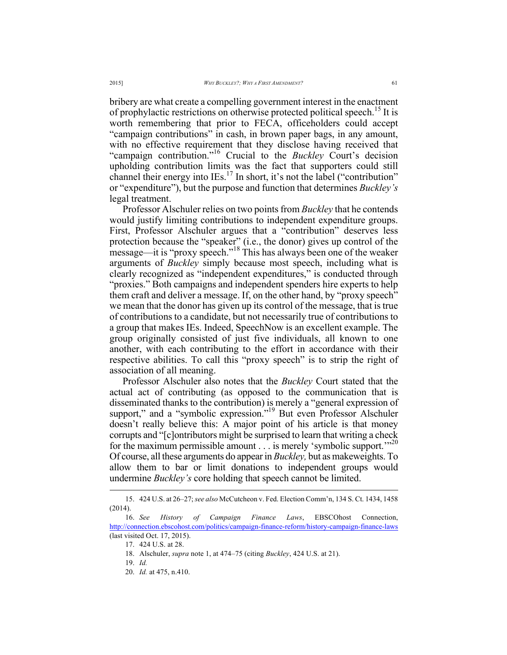bribery are what create a compelling government interest in the enactment of prophylactic restrictions on otherwise protected political speech.<sup>15</sup> It is worth remembering that prior to FECA, officeholders could accept "campaign contributions" in cash, in brown paper bags, in any amount, with no effective requirement that they disclose having received that "campaign contribution."16 Crucial to the *Buckley* Court's decision upholding contribution limits was the fact that supporters could still channel their energy into IEs.<sup>17</sup> In short, it's not the label ("contribution" or "expenditure"), but the purpose and function that determines *Buckley's*  legal treatment.

Professor Alschuler relies on two points from *Buckley* that he contends would justify limiting contributions to independent expenditure groups. First, Professor Alschuler argues that a "contribution" deserves less protection because the "speaker" (i.e., the donor) gives up control of the message—it is "proxy speech."<sup>18</sup> This has always been one of the weaker arguments of *Buckley* simply because most speech, including what is clearly recognized as "independent expenditures," is conducted through "proxies." Both campaigns and independent spenders hire experts to help them craft and deliver a message. If, on the other hand, by "proxy speech" we mean that the donor has given up its control of the message, that is true of contributions to a candidate, but not necessarily true of contributions to a group that makes IEs. Indeed, SpeechNow is an excellent example. The group originally consisted of just five individuals, all known to one another, with each contributing to the effort in accordance with their respective abilities. To call this "proxy speech" is to strip the right of association of all meaning.

Professor Alschuler also notes that the *Buckley* Court stated that the actual act of contributing (as opposed to the communication that is disseminated thanks to the contribution) is merely a "general expression of support," and a "symbolic expression.<sup>"19</sup> But even Professor Alschuler doesn't really believe this: A major point of his article is that money corrupts and "[c]ontributors might be surprised to learn that writing a check for the maximum permissible amount  $\dots$  is merely 'symbolic support."<sup>20</sup> Of course, all these arguments do appear in *Buckley,* but as makeweights. To allow them to bar or limit donations to independent groups would undermine *Buckley's* core holding that speech cannot be limited.

 <sup>15.</sup> 424 U.S. at 26–27; *see also* McCutcheon v. Fed. Election Comm'n, 134 S. Ct. 1434, 1458 (2014).

<sup>16.</sup> *See History of Campaign Finance Laws*, EBSCOhost Connection, http://connection.ebscohost.com/politics/campaign-finance-reform/history-campaign-finance-laws (last visited Oct. 17, 2015).

<sup>17.</sup> 424 U.S. at 28.

<sup>18.</sup> Alschuler, *supra* note 1, at 474–75 (citing *Buckley*, 424 U.S. at 21).

<sup>19.</sup> *Id.* 

<sup>20.</sup> *Id.* at 475, n.410.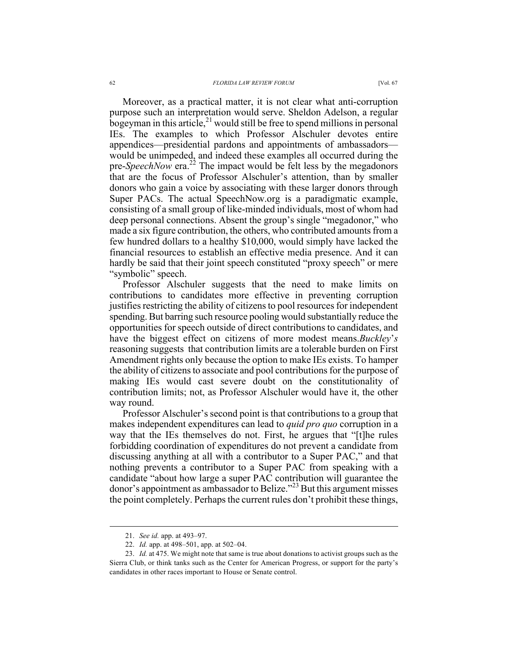bogeyman in this article,<sup>21</sup> would still be free to spend millions in personal IEs. The examples to which Professor Alschuler devotes entire appendices—presidential pardons and appointments of ambassadors would be unimpeded, and indeed these examples all occurred during the pre-*SpeechNow* era.<sup>22</sup> The impact would be felt less by the megadonors that are the focus of Professor Alschuler's attention, than by smaller donors who gain a voice by associating with these larger donors through Super PACs. The actual SpeechNow.org is a paradigmatic example, consisting of a small group of like-minded individuals, most of whom had deep personal connections. Absent the group's single "megadonor," who made a six figure contribution, the others, who contributed amounts from a few hundred dollars to a healthy \$10,000, would simply have lacked the financial resources to establish an effective media presence. And it can hardly be said that their joint speech constituted "proxy speech" or mere "symbolic" speech.

Professor Alschuler suggests that the need to make limits on contributions to candidates more effective in preventing corruption justifies restricting the ability of citizens to pool resources for independent spending. But barring such resource pooling would substantially reduce the opportunities for speech outside of direct contributions to candidates, and have the biggest effect on citizens of more modest means.*Buckley*'*s* reasoning suggests that contribution limits are a tolerable burden on First Amendment rights only because the option to make IEs exists. To hamper the ability of citizens to associate and pool contributions for the purpose of making IEs would cast severe doubt on the constitutionality of contribution limits; not, as Professor Alschuler would have it, the other way round.

Professor Alschuler's second point is that contributions to a group that makes independent expenditures can lead to *quid pro quo* corruption in a way that the IEs themselves do not. First, he argues that "[t]he rules forbidding coordination of expenditures do not prevent a candidate from discussing anything at all with a contributor to a Super PAC," and that nothing prevents a contributor to a Super PAC from speaking with a candidate "about how large a super PAC contribution will guarantee the donor's appointment as ambassador to Belize."<sup>23</sup> But this argument misses the point completely. Perhaps the current rules don't prohibit these things,

 <sup>21.</sup> *See id.* app. at 493–97.

<sup>22.</sup> *Id.* app. at 498–501, app. at 502–04.

<sup>23.</sup> *Id.* at 475. We might note that same is true about donations to activist groups such as the Sierra Club, or think tanks such as the Center for American Progress, or support for the party's candidates in other races important to House or Senate control.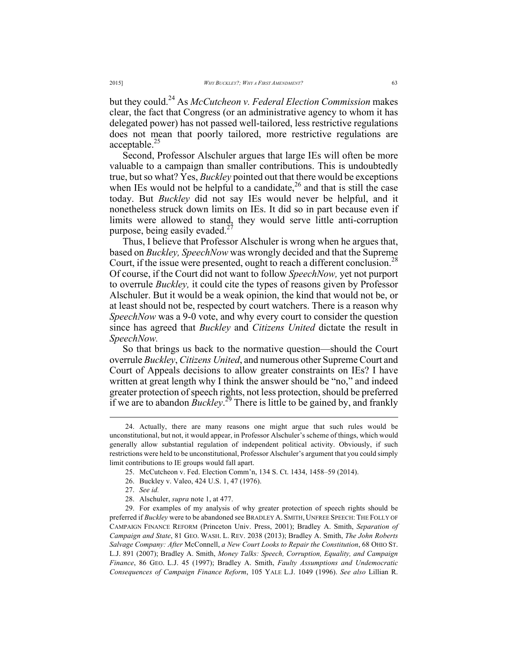but they could.<sup>24</sup> As *McCutcheon v. Federal Election Commission* makes clear, the fact that Congress (or an administrative agency to whom it has delegated power) has not passed well-tailored, less restrictive regulations does not mean that poorly tailored, more restrictive regulations are acceptable.<sup>25</sup>

Second, Professor Alschuler argues that large IEs will often be more valuable to a campaign than smaller contributions. This is undoubtedly true, but so what? Yes, *Buckley* pointed out that there would be exceptions when IEs would not be helpful to a candidate, $^{26}$  and that is still the case today. But *Buckley* did not say IEs would never be helpful, and it nonetheless struck down limits on IEs. It did so in part because even if limits were allowed to stand, they would serve little anti-corruption purpose, being easily evaded.<sup>27</sup>

Thus, I believe that Professor Alschuler is wrong when he argues that, based on *Buckley, SpeechNow* was wrongly decided and that the Supreme Court, if the issue were presented, ought to reach a different conclusion.<sup>28</sup> Of course, if the Court did not want to follow *SpeechNow,* yet not purport to overrule *Buckley,* it could cite the types of reasons given by Professor Alschuler. But it would be a weak opinion, the kind that would not be, or at least should not be, respected by court watchers. There is a reason why *SpeechNow* was a 9-0 vote, and why every court to consider the question since has agreed that *Buckley* and *Citizens United* dictate the result in *SpeechNow.* 

So that brings us back to the normative question—should the Court overrule *Buckley*, *Citizens United*, and numerous other Supreme Court and Court of Appeals decisions to allow greater constraints on IEs? I have written at great length why I think the answer should be "no," and indeed greater protection of speech rights, not less protection, should be preferred if we are to abandon  $\bar{B}uckley$ <sup>29</sup> There is little to be gained by, and frankly

 <sup>24.</sup> Actually, there are many reasons one might argue that such rules would be unconstitutional, but not, it would appear, in Professor Alschuler's scheme of things, which would generally allow substantial regulation of independent political activity. Obviously, if such restrictions were held to be unconstitutional, Professor Alschuler's argument that you could simply limit contributions to IE groups would fall apart.

<sup>25.</sup> McCutcheon v. Fed. Election Comm'n, 134 S. Ct. 1434, 1458–59 (2014).

<sup>26.</sup> Buckley v. Valeo, 424 U.S. 1, 47 (1976).

<sup>27.</sup> *See id.*

<sup>28.</sup> Alschuler, *supra* note 1, at 477.

<sup>29.</sup> For examples of my analysis of why greater protection of speech rights should be preferred if *Buckley* were to be abandoned see BRADLEY A. SMITH, UNFREE SPEECH: THE FOLLY OF CAMPAIGN FINANCE REFORM (Princeton Univ. Press, 2001); Bradley A. Smith, *Separation of Campaign and State*, 81 GEO. WASH. L. REV. 2038 (2013); Bradley A. Smith, *The John Roberts Salvage Company: After* McConnell, *a New Court Looks to Repair the Constitution*, 68 OHIO ST. L.J. 891 (2007); Bradley A. Smith, *Money Talks: Speech, Corruption, Equality, and Campaign Finance*, 86 GEO. L.J. 45 (1997); Bradley A. Smith, *Faulty Assumptions and Undemocratic Consequences of Campaign Finance Reform*, 105 YALE L.J. 1049 (1996). *See also* Lillian R.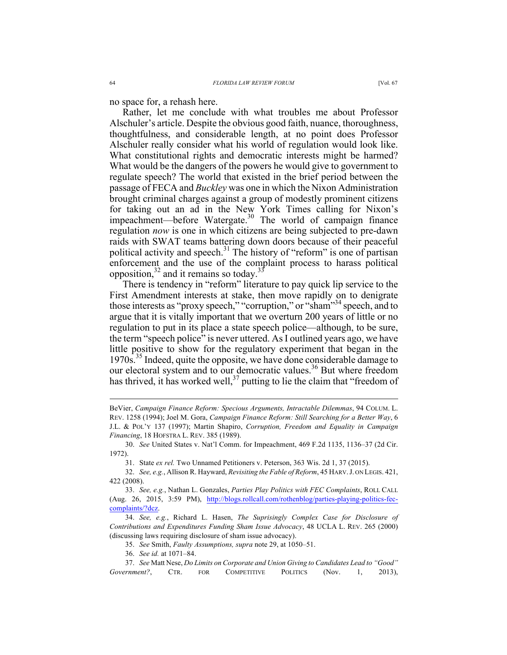no space for, a rehash here.

Rather, let me conclude with what troubles me about Professor Alschuler's article. Despite the obvious good faith, nuance, thoroughness, thoughtfulness, and considerable length, at no point does Professor Alschuler really consider what his world of regulation would look like. What constitutional rights and democratic interests might be harmed? What would be the dangers of the powers he would give to government to regulate speech? The world that existed in the brief period between the passage of FECA and *Buckley* was one in which the Nixon Administration brought criminal charges against a group of modestly prominent citizens for taking out an ad in the New York Times calling for Nixon's impeachment—before Watergate. $30$  The world of campaign finance regulation *now* is one in which citizens are being subjected to pre-dawn raids with SWAT teams battering down doors because of their peaceful political activity and speech. $31$  The history of "reform" is one of partisan enforcement and the use of the complaint process to harass political opposition,  $32$  and it remains so today.<sup>33</sup>

There is tendency in "reform" literature to pay quick lip service to the First Amendment interests at stake, then move rapidly on to denigrate those interests as "proxy speech," "corruption," or "sham"<sup>34</sup> speech, and to argue that it is vitally important that we overturn 200 years of little or no regulation to put in its place a state speech police—although, to be sure, the term "speech police" is never uttered. As I outlined years ago, we have little positive to show for the regulatory experiment that began in the 1970s.<sup>35</sup> Indeed, quite the opposite, we have done considerable damage to our electoral system and to our democratic values.<sup>36</sup> But where freedom has thrived, it has worked well,<sup>37</sup> putting to lie the claim that "freedom of

BeVier, *Campaign Finance Reform: Specious Arguments, Intractable Dilemmas*, 94 COLUM. L. REV. 1258 (1994); Joel M. Gora, *Campaign Finance Reform: Still Searching for a Better Way*, 6 J.L. & POL'Y 137 (1997); Martin Shapiro, *Corruption, Freedom and Equality in Campaign Financing*, 18 HOFSTRA L. REV. 385 (1989).

<sup>30.</sup> *See* United States v. Nat'l Comm. for Impeachment, 469 F.2d 1135, 1136–37 (2d Cir. 1972).

<sup>31.</sup> State *ex rel.* Two Unnamed Petitioners v. Peterson, 363 Wis. 2d 1, 37 (2015).

<sup>32.</sup> *See, e.g.*, Allison R. Hayward, *Revisiting the Fable of Reform*, 45 HARV.J. ON LEGIS. 421, 422 (2008).

<sup>33.</sup> *See, e.g.*, Nathan L. Gonzales, *Parties Play Politics with FEC Complaints*, ROLL CALL (Aug. 26, 2015, 3:59 PM), http://blogs.rollcall.com/rothenblog/parties-playing-politics-feccomplaints/?dcz.

<sup>34.</sup> *See, e.g.*, Richard L. Hasen, *The Suprisingly Complex Case for Disclosure of Contributions and Expenditures Funding Sham Issue Advocacy*, 48 UCLA L. REV. 265 (2000) (discussing laws requiring disclosure of sham issue advocacy).

<sup>35.</sup> *See* Smith, *Faulty Assumptions, supra* note 29, at 1050–51.

<sup>36.</sup> *See id.* at 1071–84.

<sup>37.</sup> *See* Matt Nese, *Do Limits on Corporate and Union Giving to Candidates Lead to "Good" Government?*, CTR. FOR COMPETITIVE POLITICS (Nov. 1, 2013),